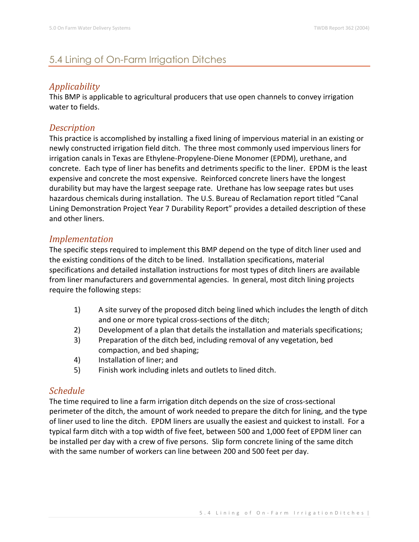# 5.4 Lining of On-Farm Irrigation Ditches

# *Applicability*

This BMP is applicable to agricultural producers that use open channels to convey irrigation water to fields.

### *Description*

This practice is accomplished by installing a fixed lining of impervious material in an existing or newly constructed irrigation field ditch. The three most commonly used impervious liners for irrigation canals in Texas are Ethylene-Propylene-Diene Monomer (EPDM), urethane, and concrete. Each type of liner has benefits and detriments specific to the liner. EPDM is the least expensive and concrete the most expensive. Reinforced concrete liners have the longest durability but may have the largest seepage rate. Urethane has low seepage rates but uses hazardous chemicals during installation. The U.S. Bureau of Reclamation report titled "Canal Lining Demonstration Project Year 7 Durability Report" provides a detailed description of these and other liners.

### *Implementation*

The specific steps required to implement this BMP depend on the type of ditch liner used and the existing conditions of the ditch to be lined. Installation specifications, material specifications and detailed installation instructions for most types of ditch liners are available from liner manufacturers and governmental agencies. In general, most ditch lining projects require the following steps:

- 1) A site survey of the proposed ditch being lined which includes the length of ditch and one or more typical cross-sections of the ditch;
- 2) Development of a plan that details the installation and materials specifications;
- 3) Preparation of the ditch bed, including removal of any vegetation, bed compaction, and bed shaping;
- 4) Installation of liner; and
- 5) Finish work including inlets and outlets to lined ditch.

## *Schedule*

The time required to line a farm irrigation ditch depends on the size of cross-sectional perimeter of the ditch, the amount of work needed to prepare the ditch for lining, and the type of liner used to line the ditch. EPDM liners are usually the easiest and quickest to install. For a typical farm ditch with a top width of five feet, between 500 and 1,000 feet of EPDM liner can be installed per day with a crew of five persons. Slip form concrete lining of the same ditch with the same number of workers can line between 200 and 500 feet per day.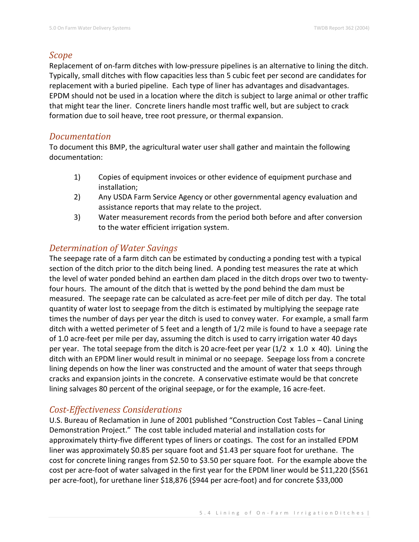# *Scope*

Replacement of on-farm ditches with low-pressure pipelines is an alternative to lining the ditch. Typically, small ditches with flow capacities less than 5 cubic feet per second are candidates for replacement with a buried pipeline. Each type of liner has advantages and disadvantages. EPDM should not be used in a location where the ditch is subject to large animal or other traffic that might tear the liner. Concrete liners handle most traffic well, but are subject to crack formation due to soil heave, tree root pressure, or thermal expansion.

### *Documentation*

To document this BMP, the agricultural water user shall gather and maintain the following documentation:

- 1) Copies of equipment invoices or other evidence of equipment purchase and installation;
- 2) Any USDA Farm Service Agency or other governmental agency evaluation and assistance reports that may relate to the project.
- 3) Water measurement records from the period both before and after conversion to the water efficient irrigation system.

# *Determination of Water Savings*

The seepage rate of a farm ditch can be estimated by conducting a ponding test with a typical section of the ditch prior to the ditch being lined. A ponding test measures the rate at which the level of water ponded behind an earthen dam placed in the ditch drops over two to twentyfour hours. The amount of the ditch that is wetted by the pond behind the dam must be measured. The seepage rate can be calculated as acre-feet per mile of ditch per day. The total quantity of water lost to seepage from the ditch is estimated by multiplying the seepage rate times the number of days per year the ditch is used to convey water. For example, a small farm ditch with a wetted perimeter of 5 feet and a length of 1/2 mile is found to have a seepage rate of 1.0 acre-feet per mile per day, assuming the ditch is used to carry irrigation water 40 days per year. The total seepage from the ditch is 20 acre-feet per year (1/2 x 1.0 x 40). Lining the ditch with an EPDM liner would result in minimal or no seepage. Seepage loss from a concrete lining depends on how the liner was constructed and the amount of water that seeps through cracks and expansion joints in the concrete. A conservative estimate would be that concrete lining salvages 80 percent of the original seepage, or for the example, 16 acre-feet.

## *Cost-Effectiveness Considerations*

U.S. Bureau of Reclamation in June of 2001 published "Construction Cost Tables – Canal Lining Demonstration Project." The cost table included material and installation costs for approximately thirty-five different types of liners or coatings. The cost for an installed EPDM liner was approximately \$0.85 per square foot and \$1.43 per square foot for urethane. The cost for concrete lining ranges from \$2.50 to \$3.50 per square foot. For the example above the cost per acre-foot of water salvaged in the first year for the EPDM liner would be \$11,220 (\$561 per acre-foot), for urethane liner \$18,876 (\$944 per acre-foot) and for concrete \$33,000